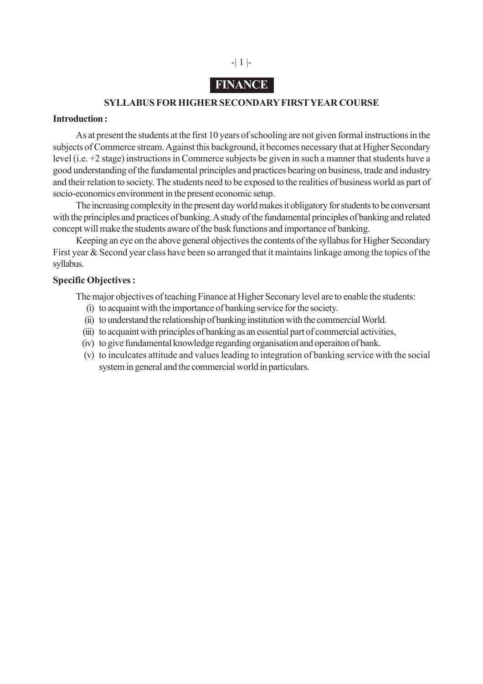

## **FINANCE**

### **SYLLABUS FOR HIGHER SECONDARY FIRST YEAR COURSE**

#### **Introduction :**

As at present the students at the first 10 years of schooling are not given formal instructions in the subjects of Commerce stream. Against this background, it becomes necessary that at Higher Secondary level (i.e. +2 stage) instructions in Commerce subjects be given in such a manner that students have a good understanding of the fundamental principles and practices bearing on business, trade and industry and their relation to society. The students need to be exposed to the realities of business world as part of socio-economics environment in the present economic setup.

The increasing complexity in the present day world makes it obligatory for students to be conversant with the principles and practices of banking. A study of the fundamental principles of banking and related concept will make the students aware of the bask functions and importance of banking.

Keeping an eye on the above general objectives the contents of the syllabus for Higher Secondary First year & Second year class have been so arranged that it maintains linkage among the topics of the syllabus.

### **Specific Objectives :**

The major objectives of teaching Finance at Higher Seconary level are to enable the students:

- (i) to acquaint with the importance of banking service for the society.
- (ii) to understand the relationship of banking institution with the commercial World.
- (iii) to acquaint with principles of banking as an essential part of commercial activities,
- (iv) to give fundamental knowledge regarding organisation and operaiton of bank.
- (v) to inculcates attitude and values leading to integration of banking service with the social system in general and the commercial world in particulars.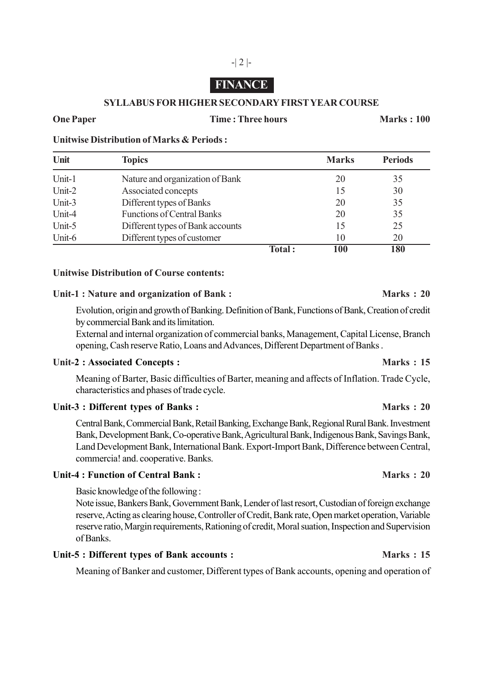# **FINANCE**

-| 2 |-

### **SYLLABUS FOR HIGHER SECONDARY FIRST YEAR COURSE**

#### **One Paper Time : Three hours Marks : 100**

**Unitwise Distribution of Marks & Periods :**

| Unit   | <b>Topics</b>                     |               | <b>Marks</b> | <b>Periods</b> |
|--------|-----------------------------------|---------------|--------------|----------------|
| Unit-1 | Nature and organization of Bank   |               | 20           | 35             |
| Unit-2 | Associated concepts               |               | 15           | 30             |
| Unit-3 | Different types of Banks          |               | 20           | 35             |
| Unit-4 | <b>Functions of Central Banks</b> |               | 20           | 35             |
| Unit-5 | Different types of Bank accounts  |               | 15           | 25             |
| Unit-6 | Different types of customer       |               | 10           | 20             |
|        |                                   | <b>Total:</b> | 100          | 180            |

### **Unitwise Distribution of Course contents:**

#### Unit-1 : Nature and organization of Bank : Marks : 20

Evolution, origin and growth of Banking. Definition of Bank, Functions of Bank, Creation of credit by commercial Bank and its limitation.

External and internal organization of commercial banks, Management, Capital License, Branch opening, Cash reserve Ratio, Loans and Advances, Different Department of Banks .

#### Unit-2 : Associated Concepts : **Marks** : 15

Meaning of Barter, Basic difficulties of Barter, meaning and affects of Inflation. Trade Cycle, characteristics and phases of trade cycle.

### Unit-3 : Different types of Banks : **Marks** : 20

Central Bank, Commercial Bank, Retail Banking, Exchange Bank, Regional Rural Bank. Investment Bank, Development Bank, Co-operative Bank, Agricultural Bank, Indigenous Bank, Savings Bank, Land Development Bank, International Bank. Export-Import Bank, Difference between Central, commercia! and. cooperative. Banks.

### **Unit-4 : Function of Central Bank : Marks : 20**

Basic knowledge of the following :

Note issue, Bankers Bank, Government Bank, Lender of last resort, Custodian of foreign exchange reserve, Acting as clearing house, Controller of Credit, Bank rate, Open market operation, Variable reserve ratio, Margin requirements, Rationing of credit, Moral suation, Inspection and Supervision of Banks.

### Unit-5 : Different types of Bank accounts : **Marks** : 15

Meaning of Banker and customer, Different types of Bank accounts, opening and operation of